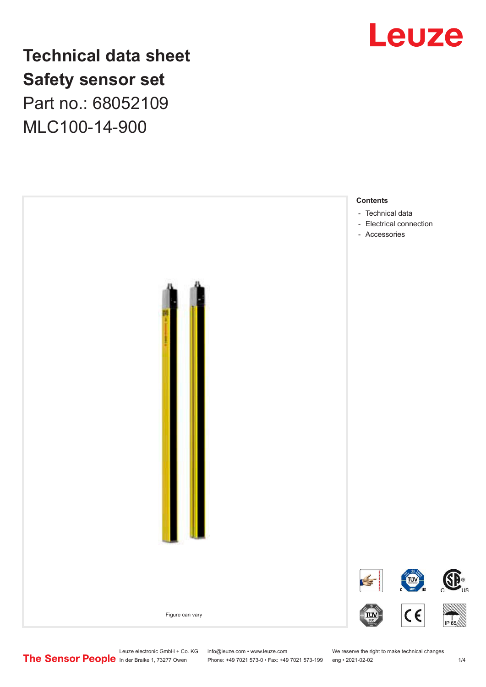

**Technical data sheet Safety sensor set** Part no.: 68052109 MLC100-14-900



Leuze electronic GmbH + Co. KG info@leuze.com • www.leuze.com We reserve the right to make technical changes<br> **The Sensor People** in der Braike 1, 73277 Owen Phone: +49 7021 573-0 • Fax: +49 7021 573-199 eng • 2021-02-02

Phone: +49 7021 573-0 • Fax: +49 7021 573-199 eng • 2021-02-02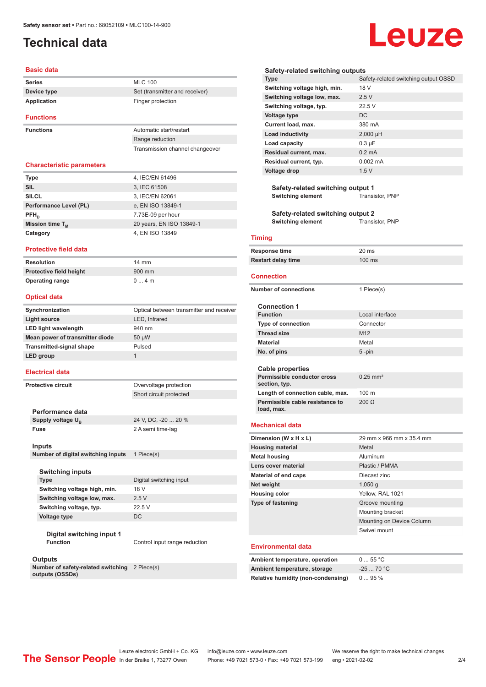## <span id="page-1-0"></span>**Technical data**

### **Basic data**

| <b>Series</b>    | <b>MLC 100</b>                 |
|------------------|--------------------------------|
| Device type      | Set (transmitter and receiver) |
| Application      | Finger protection              |
| <b>Functions</b> |                                |

**Functions Automatic start/restart** 

Range reduction Transmission channel changeover

### **Characteristic parameters**

| <b>Type</b>            | 4, IEC/EN 61496          |
|------------------------|--------------------------|
| <b>SIL</b>             | 3, IEC 61508             |
| <b>SILCL</b>           | 3, IEC/EN 62061          |
| Performance Level (PL) | e, EN ISO 13849-1        |
| $PFH_{n}$              | 7.73E-09 per hour        |
| Mission time $T_{M}$   | 20 years, EN ISO 13849-1 |
| Category               | 4, EN ISO 13849          |

### **Protective field data**

| Resolution              | 14 mm  |
|-------------------------|--------|
| Protective field height | 900 mm |
| <b>Operating range</b>  | 04m    |

### **Optical data**

| Synchronization                 | Optical between transmitter and receiver |
|---------------------------------|------------------------------------------|
| Light source                    | LED, Infrared                            |
| <b>LED light wavelength</b>     | 940 nm                                   |
| Mean power of transmitter diode | $50 \mu W$                               |
| <b>Transmitted-signal shape</b> | Pulsed                                   |
| LED group                       | 1                                        |
|                                 |                                          |

### **Electrical data**

**Protective circuit COVER COVER COVER COVER COVER** 

**Performance data** Supply voltage  $U_B$ 

24 V, DC, -20 ... 20 %

Short circuit protected

**Fuse** 2 A semi time-lag

### **Inputs**

**Number of digital switching inputs** 1 Piece(s)

### **Switching inputs**

**Switching voltage high, min.** 18 V **Switching voltage low, max.** 2.5 V **Switching voltage, typ.** 22.5 V

## **Type** Digital switching input **Voltage type** DC

**Digital switching input 1 Function Control input range reduction** 

#### **Outputs**

**Number of safety-related switching**  2 Piece(s) **outputs (OSSDs)**

### **Safety-related switching outputs**

| <b>Type</b>                  | Safety-related switching output OSSD |
|------------------------------|--------------------------------------|
| Switching voltage high, min. | 18 V                                 |
| Switching voltage low, max.  | 2.5V                                 |
| Switching voltage, typ.      | 22.5V                                |
| <b>Voltage type</b>          | DC.                                  |
| Current load, max.           | 380 mA                               |
| <b>Load inductivity</b>      | $2,000$ µH                           |
| Load capacity                | $0.3 \mu F$                          |
| Residual current, max.       | $0.2 \text{ mA}$                     |
| Residual current, typ.       | $0.002$ mA                           |
| <b>Voltage drop</b>          | 1.5V                                 |
|                              |                                      |

**Safety-related switching output 1**<br>Switching element Transistor, PNP **Switching element** 

**Safety-related switching output 2 Switching element** Transistor, PNP

### **Timing**

| Response time             | 20 ms            |
|---------------------------|------------------|
| <b>Restart delay time</b> | $100 \text{ ms}$ |

#### **Connection**

| <b>Number of connections</b>                  | 1 Piece(s)                |  |  |
|-----------------------------------------------|---------------------------|--|--|
| <b>Connection 1</b>                           |                           |  |  |
| <b>Function</b>                               | Local interface           |  |  |
| <b>Type of connection</b>                     | Connector                 |  |  |
| <b>Thread size</b>                            | M <sub>12</sub>           |  |  |
| <b>Material</b>                               | Metal                     |  |  |
| No. of pins                                   | $5 - pin$                 |  |  |
|                                               |                           |  |  |
| Cable properties                              |                           |  |  |
| Permissible conductor cross<br>section, typ.  | $0.25$ mm <sup>2</sup>    |  |  |
| Length of connection cable, max.              | 100 <sub>m</sub>          |  |  |
| Permissible cable resistance to<br>load, max. | 200 <sub>o</sub>          |  |  |
| <b>Mechanical data</b>                        |                           |  |  |
| Dimension (W x H x L)                         | 29 mm x 966 mm x 35.4 mm  |  |  |
| <b>Housing material</b>                       | Metal                     |  |  |
| <b>Metal housing</b>                          | Aluminum                  |  |  |
| Lens cover material                           | Plastic / PMMA            |  |  |
| <b>Material of end caps</b>                   | Diecast zinc              |  |  |
| Net weight                                    | 1,050q                    |  |  |
| <b>Housing color</b>                          | Yellow, RAL 1021          |  |  |
| <b>Type of fastening</b>                      | Groove mounting           |  |  |
|                                               | Mounting bracket          |  |  |
|                                               | Mounting on Device Column |  |  |

#### **Environmental data**

| Ambient temperature, operation     | $0 \dots 55 °C$ |
|------------------------------------|-----------------|
| Ambient temperature, storage       | $-2570 °C$      |
| Relative humidity (non-condensing) | 095%            |

Swivel mount

## Leuze electronic GmbH + Co. KG info@leuze.com • www.leuze.com We reserve the right to make technical changes<br>
The Sensor People in der Braike 1, 73277 Owen Phone: +49 7021 573-0 • Fax: +49 7021 573-199 eng • 2021-02-02

## Leuze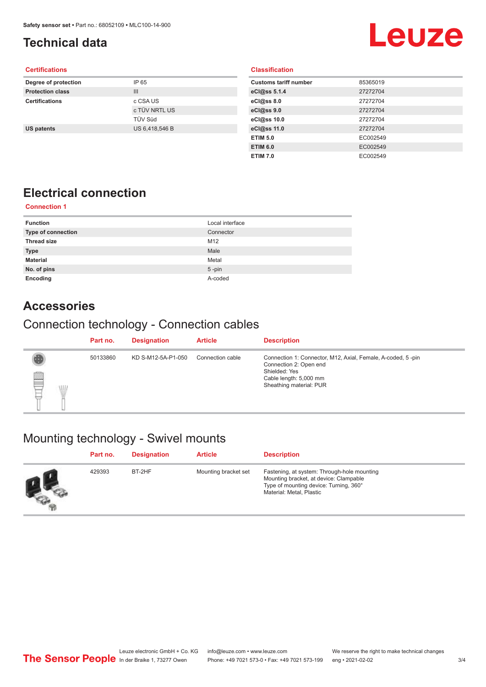## <span id="page-2-0"></span>**Technical data**

# **Leuze**

### **Certifications**

| Degree of protection    | IP 65          |
|-------------------------|----------------|
| <b>Protection class</b> | $\mathbf{III}$ |
| <b>Certifications</b>   | c CSA US       |
|                         | c TÜV NRTL US  |
|                         | <b>TÜV Süd</b> |
| <b>US patents</b>       | US 6,418,546 B |
|                         |                |

### **Classification**

| <b>Customs tariff number</b> | 85365019 |
|------------------------------|----------|
| eCl@ss 5.1.4                 | 27272704 |
| eCl@ss 8.0                   | 27272704 |
| eCl@ss 9.0                   | 27272704 |
| eCl@ss 10.0                  | 27272704 |
| eCl@ss 11.0                  | 27272704 |
| <b>ETIM 5.0</b>              | EC002549 |
| <b>ETIM 6.0</b>              | EC002549 |
| <b>ETIM 7.0</b>              | EC002549 |

## **Electrical connection**

### **Connection 1**

| <b>Function</b>           | Local interface |
|---------------------------|-----------------|
| <b>Type of connection</b> | Connector       |
| <b>Thread size</b>        | M12             |
| Type                      | Male            |
| <b>Material</b>           | Metal           |
| No. of pins               | $5$ -pin        |
| Encoding                  | A-coded         |

### **Accessories**

## Connection technology - Connection cables

|        |            | Part no. | <b>Designation</b> | <b>Article</b>   | <b>Description</b>                                                                                                                                          |
|--------|------------|----------|--------------------|------------------|-------------------------------------------------------------------------------------------------------------------------------------------------------------|
| §<br>₽ | <b>ALL</b> | 50133860 | KD S-M12-5A-P1-050 | Connection cable | Connection 1: Connector, M12, Axial, Female, A-coded, 5-pin<br>Connection 2: Open end<br>Shielded: Yes<br>Cable length: 5,000 mm<br>Sheathing material: PUR |

## Mounting technology - Swivel mounts

| Part no. | <b>Designation</b> | <b>Article</b>       | <b>Description</b>                                                                                                                                          |
|----------|--------------------|----------------------|-------------------------------------------------------------------------------------------------------------------------------------------------------------|
| 429393   | BT-2HF             | Mounting bracket set | Fastening, at system: Through-hole mounting<br>Mounting bracket, at device: Clampable<br>Type of mounting device: Turning, 360°<br>Material: Metal, Plastic |